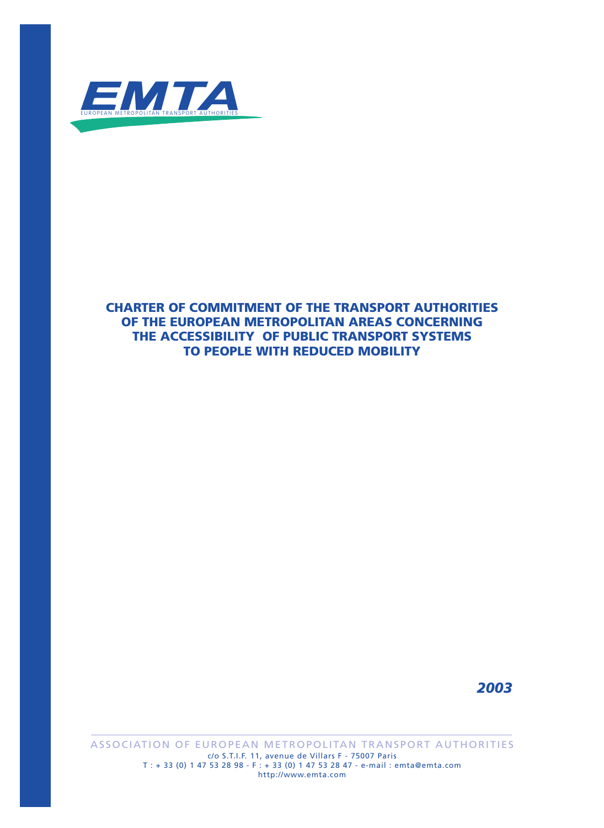

## **CHARTER OF COMMITMENT OF THE TRANSPORT AUTHORITIES OF THE EUROPEAN METROPOLITAN AREAS CONCERNING THE ACCESSIBILITY OF PUBLIC TRANSPORT SYSTEMS TO PEOPLE WITH REDUCED MOBILITY**



ASSOCIATION OF EUROPEAN METROPOLITAN TRANSPORT AUTHORITIES c/o S.T.I.F. 11, avenue de Villars F - 75007 Paris T : + 33 (0) 1 47 53 28 98 - F : + 33 (0) 1 47 53 28 47 - e-mail : emta@emta.com http://www.emta.com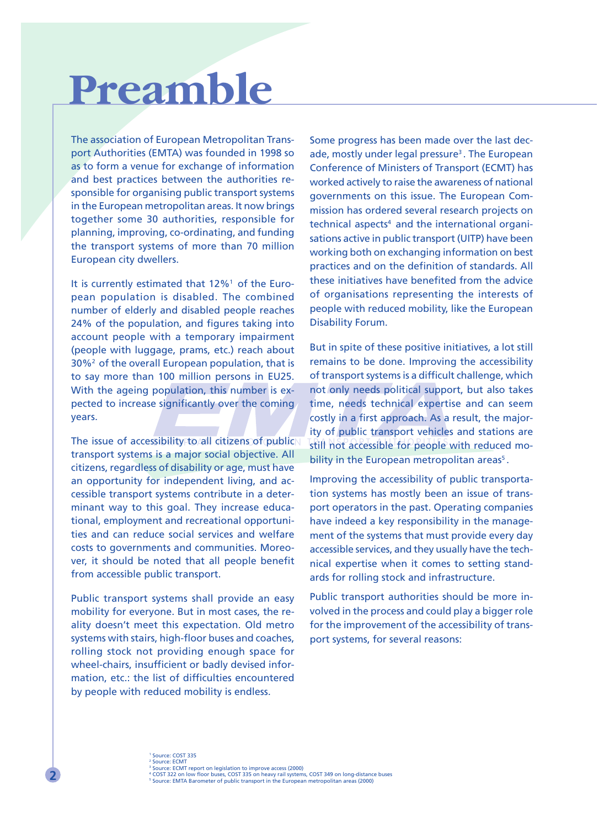## **Preamble**

The association of European Metropolitan Transport Authorities (EMTA) was founded in 1998 so as to form a venue for exchange of information and best practices between the authorities responsible for organising public transport systems in the European metropolitan areas. It now brings together some 30 authorities, responsible for planning, improving, co-ordinating, and funding the transport systems of more than 70 million European city dwellers.

It is currently estimated that 12%1 of the European population is disabled. The combined number of elderly and disabled people reaches 24% of the population, and figures taking into account people with a temporary impairment (people with luggage, prams, etc.) reach about 30%2 of the overall European population, that is to say more than 100 million persons in EU25. With the ageing population, this number is expected to increase significantly over the coming years.

The issue of accessibility to all citizens of public  $\nabla$  in Not accessible for people transport systems is a major social objective. All citizens, regardless of disability or age, must have an opportunity for independent living, and accessible transport systems contribute in a determinant way to this goal. They increase educational, employment and recreational opportunities and can reduce social services and welfare costs to governments and communities. Moreover, it should be noted that all people benefit from accessible public transport.

Public transport systems shall provide an easy mobility for everyone. But in most cases, the reality doesn't meet this expectation. Old metro systems with stairs, high-floor buses and coaches, rolling stock not providing enough space for wheel-chairs, insufficient or badly devised information, etc.: the list of difficulties encountered by people with reduced mobility is endless.

Some progress has been made over the last decade, mostly under legal pressure<sup>3</sup>. The European Conference of Ministers of Transport (ECMT) has worked actively to raise the awareness of national governments on this issue. The European Commission has ordered several research projects on technical aspects<sup>4</sup> and the international organisations active in public transport (UITP) have been working both on exchanging information on best practices and on the definition of standards. All these initiatives have benefited from the advice of organisations representing the interests of people with reduced mobility, like the European Disability Forum.

But in spite of these positive initiatives, a lot still remains to be done. Improving the accessibility of transport systems is a difficult challenge, which not only needs political support, but also takes time, needs technical expertise and can seem costly in a first approach. As a result, the majority of public transport vehicles and stations are still not accessible for people with reduced mobility in the European metropolitan areas<sup>5</sup>.

Improving the accessibility of public transportation systems has mostly been an issue of transport operators in the past. Operating companies have indeed a key responsibility in the management of the systems that must provide every day accessible services, and they usually have the technical expertise when it comes to setting standards for rolling stock and infrastructure.

Public transport authorities should be more involved in the process and could play a bigger role for the improvement of the accessibility of transport systems, for several reasons: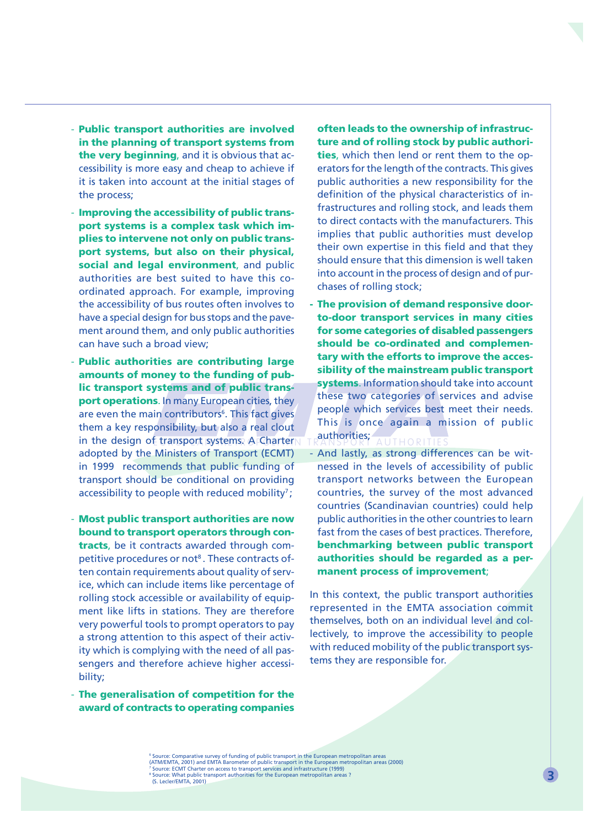- **Public transport authorities are involved in the planning of transport systems from the very beginning**, and it is obvious that accessibility is more easy and cheap to achieve if it is taken into account at the initial stages of the process;
- **Improving the accessibility of public transport systems is a complex task which implies to intervene not only on public transport systems, but also on their physical, social and legal environment**, and public authorities are best suited to have this coordinated approach. For example, improving the accessibility of bus routes often involves to have a special design for bus stops and the pavement around them, and only public authorities can have such a broad view;
- in the design of transport systems. A Charter  $N$  TRANSPORT AUTHORITIES - **Public authorities are contributing large amounts of money to the funding of public transport systems and of public transport operations**. In many European cities, they are even the main contributors<sup>6</sup>. This fact gives them a key responsibility, but also a real clout adopted by the Ministers of Transport (ECMT) in 1999 recommends that public funding of transport should be conditional on providing accessibility to people with reduced mobility<sup>7</sup>;
- **Most public transport authorities are now bound to transport operators through contracts**, be it contracts awarded through competitive procedures or not<sup>8</sup>. These contracts often contain requirements about quality of service, which can include items like percentage of rolling stock accessible or availability of equipment like lifts in stations. They are therefore very powerful tools to prompt operators to pay a strong attention to this aspect of their activity which is complying with the need of all passengers and therefore achieve higher accessibility;
- **The generalisation of competition for the award of contracts to operating companies**

## **often leads to the ownership of infrastructure and of rolling stock by public authori-**

**ties**, which then lend or rent them to the operators for the length of the contracts. This gives public authorities a new responsibility for the definition of the physical characteristics of infrastructures and rolling stock, and leads them to direct contacts with the manufacturers. This implies that public authorities must develop their own expertise in this field and that they should ensure that this dimension is well taken into account in the process of design and of purchases of rolling stock;

- **The provision of demand responsive doorto-door transport services in many cities for some categories of disabled passengers should be co-ordinated and complementary with the efforts to improve the accessibility of the mainstream public transport systems**. Information should take into account these two categories of services and advise people which services best meet their needs. This is once again a mission of public authorities;
- And lastly, as strong differences can be witnessed in the levels of accessibility of public transport networks between the European countries, the survey of the most advanced countries (Scandinavian countries) could help public authorities in the other countries to learn fast from the cases of best practices. Therefore, **benchmarking between public transport authorities should be regarded as a permanent process of improvement**;

In this context, the public transport authorities represented in the EMTA association commit themselves, both on an individual level and collectively, to improve the accessibility to people with reduced mobility of the public transport systems they are responsible for.

<sup>6</sup> Source: Comparative survey of funding of public transport in the European metropolitan areas (ATM/EMTA, 2001) and EMTA Barometer of public transport in the European metropolitan areas (2000) <sup>7</sup> Source: ECMT Charter on access to transport services and infrastructure (1999)<br><sup>8</sup> Source: What public transport authorities for the European metropolitan areas ?<br>(S. Lecler/EMTA, 2001)